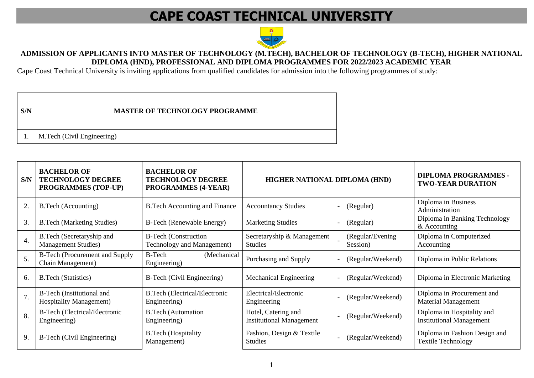# **CAPE COAST TECHNICAL UNIVERSITY**



#### **ADMISSION OF APPLICANTS INTO MASTER OF TECHNOLOGY (M.TECH), BACHELOR OF TECHNOLOGY (B-TECH), HIGHER NATIONAL DIPLOMA (HND), PROFESSIONAL AND DIPLOMA PROGRAMMES FOR 2022/2023 ACADEMIC YEAR**

Cape Coast Technical University is inviting applications from qualified candidates for admission into the following programmes of study:

| S/N | <b>MASTER OF TECHNOLOGY PROGRAMME</b> |
|-----|---------------------------------------|
|     | M.Tech (Civil Engineering)            |

| S/N              | <b>BACHELOR OF</b><br><b>TECHNOLOGY DEGREE</b><br>PROGRAMMES (TOP-UP) | <b>BACHELOR OF</b><br><b>TECHNOLOGY DEGREE</b><br><b>PROGRAMMES (4-YEAR)</b> | HIGHER NATIONAL DIPLOMA (HND)                                                | <b>DIPLOMA PROGRAMMES -</b><br><b>TWO-YEAR DURATION</b>       |
|------------------|-----------------------------------------------------------------------|------------------------------------------------------------------------------|------------------------------------------------------------------------------|---------------------------------------------------------------|
| 2.               | <b>B.Tech (Accounting)</b>                                            | <b>B.Tech Accounting and Finance</b>                                         | <b>Accountancy Studies</b><br>(Regular)                                      | Diploma in Business<br>Administration                         |
| 3.               | <b>B.Tech (Marketing Studies)</b>                                     | B-Tech (Renewable Energy)                                                    | <b>Marketing Studies</b><br>(Regular)                                        | Diploma in Banking Technology<br>$&$ Accounting               |
| $\overline{4}$ . | B.Tech (Secretaryship and<br><b>Management Studies</b> )              | <b>B-Tech (Construction</b><br><b>Technology and Management)</b>             | Secretaryship & Management<br>(Regular/Evening<br><b>Studies</b><br>Session) | Diploma in Computerized<br>Accounting                         |
| 5.               | B-Tech (Procurement and Supply<br>Chain Management)                   | <b>B-Tech</b><br>(Mechanical<br>Engineering)                                 | Purchasing and Supply<br>(Regular/Weekend)                                   | Diploma in Public Relations                                   |
| 6.               | <b>B.Tech (Statistics)</b>                                            | B-Tech (Civil Engineering)                                                   | <b>Mechanical Engineering</b><br>(Regular/Weekend)                           | Diploma in Electronic Marketing                               |
| 7.               | B-Tech (Institutional and<br><b>Hospitality Management)</b>           | <b>B.Tech (Electrical/Electronic</b><br>Engineering)                         | Electrical/Electronic<br>(Regular/Weekend)<br>Engineering                    | Diploma in Procurement and<br><b>Material Management</b>      |
| 8.               | <b>B-Tech (Electrical/Electronic</b><br>Engineering)                  | <b>B.Tech (Automation</b><br>Engineering)                                    | Hotel, Catering and<br>(Regular/Weekend)<br><b>Institutional Management</b>  | Diploma in Hospitality and<br><b>Institutional Management</b> |
| 9.               | B-Tech (Civil Engineering)                                            | <b>B.Tech (Hospitality</b><br>Management)                                    | Fashion, Design & Textile<br>(Regular/Weekend)<br><b>Studies</b>             | Diploma in Fashion Design and<br><b>Textile Technology</b>    |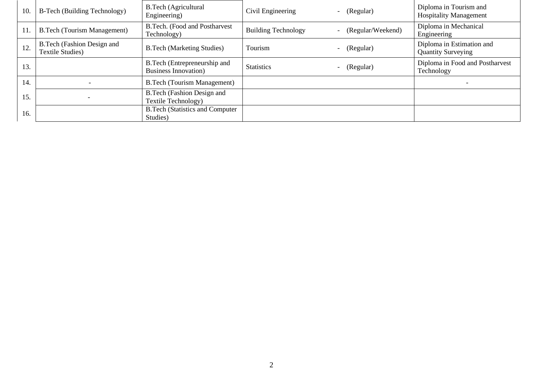| 10. | B-Tech (Building Technology)                          | <b>B.Tech (Agricultural</b><br>Engineering)                  | Civil Engineering          | - (Regular)       | Diploma in Tourism and<br><b>Hospitality Management</b> |
|-----|-------------------------------------------------------|--------------------------------------------------------------|----------------------------|-------------------|---------------------------------------------------------|
| 11. | <b>B.Tech (Tourism Management)</b>                    | B.Tech. (Food and Postharvest<br>Technology)                 | <b>Building Technology</b> | (Regular/Weekend) | Diploma in Mechanical<br>Engineering                    |
| 12. | B.Tech (Fashion Design and<br><b>Textile Studies)</b> | <b>B.Tech (Marketing Studies)</b>                            | Tourism                    | (Regular)         | Diploma in Estimation and<br><b>Quantity Surveying</b>  |
| 13. |                                                       | B.Tech (Entrepreneurship and<br><b>Business Innovation</b> ) | <b>Statistics</b>          | - (Regular)       | Diploma in Food and Postharvest<br>Technology           |
| 14. |                                                       | <b>B.Tech (Tourism Management)</b>                           |                            |                   |                                                         |
| 15. |                                                       | <b>B.Tech (Fashion Design and</b><br>Textile Technology)     |                            |                   |                                                         |
| 16. |                                                       | <b>B.Tech (Statistics and Computer)</b><br>Studies)          |                            |                   |                                                         |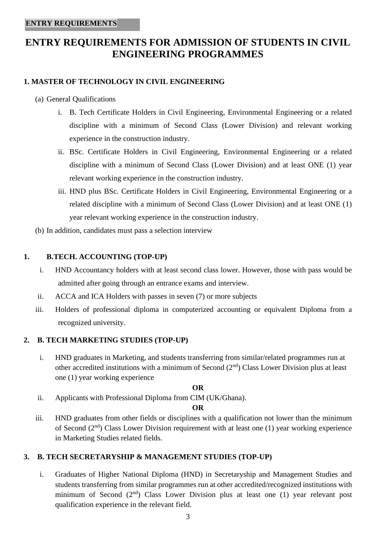## **ENTRY REQUIREMENTS FOR ADMISSION OF STUDENTS IN CIVIL ENGINEERING PROGRAMMES**

#### **1. MASTER OF TECHNOLOGY IN CIVIL ENGINEERING**

- (a) General Qualifications
	- i. B. Tech Certificate Holders in Civil Engineering, Environmental Engineering or a related discipline with a minimum of Second Class (Lower Division) and relevant working experience in the construction industry.
	- ii. BSc. Certificate Holders in Civil Engineering, Environmental Engineering or a related discipline with a minimum of Second Class (Lower Division) and at least ONE (1) year relevant working experience in the construction industry.
	- iii. HND plus BSc. Certificate Holders in Civil Engineering, Environmental Engineering or a related discipline with a minimum of Second Class (Lower Division) and at least ONE (1) year relevant working experience in the construction industry.
- (b) In addition, candidates must pass a selection interview

#### **1. B.TECH. ACCOUNTING (TOP-UP)**

- i. HND Accountancy holders with at least second class lower. However, those with pass would be admitted after going through an entrance exams and interview.
- ii. ACCA and ICA Holders with passes in seven (7) or more subjects
- iii. Holders of professional diploma in computerized accounting or equivalent Diploma from a recognized university.

#### **2. B. TECH MARKETING STUDIES (TOP-UP)**

i. HND graduates in Marketing, and students transferring from similar/related programmes run at other accredited institutions with a minimum of Second  $(2<sup>nd</sup>)$  Class Lower Division plus at least one (1) year working experience

#### **OR**

ii. Applicants with Professional Diploma from CIM (UK/Ghana).

#### **OR**

iii. HND graduates from other fields or disciplines with a qualification not lower than the minimum of Second  $(2<sup>nd</sup>)$  Class Lower Division requirement with at least one (1) year working experience in Marketing Studies related fields.

#### **3. B. TECH SECRETARYSHIP & MANAGEMENT STUDIES (TOP-UP)**

i. Graduates of Higher National Diploma (HND) in Secretaryship and Management Studies and students transferring from similar programmes run at other accredited/recognized institutions with minimum of Second  $(2<sup>nd</sup>)$  Class Lower Division plus at least one (1) year relevant post qualification experience in the relevant field.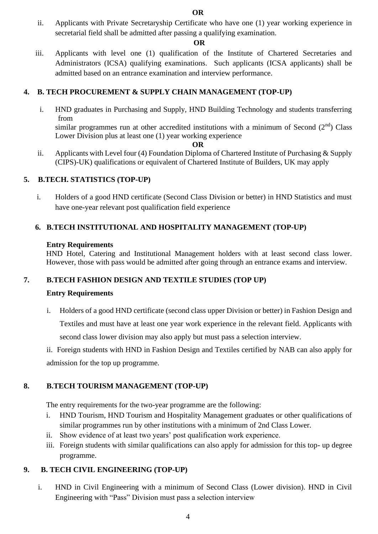ii. Applicants with Private Secretaryship Certificate who have one (1) year working experience in secretarial field shall be admitted after passing a qualifying examination.

#### **OR**

iii. Applicants with level one (1) qualification of the Institute of Chartered Secretaries and Administrators (ICSA) qualifying examinations. Such applicants (ICSA applicants) shall be admitted based on an entrance examination and interview performance.

## **4. B. TECH PROCUREMENT & SUPPLY CHAIN MANAGEMENT (TOP-UP)**

i. HND graduates in Purchasing and Supply, HND Building Technology and students transferring from similar programmes run at other accredited institutions with a minimum of Second  $(2<sup>nd</sup>)$  Class Lower Division plus at least one (1) year working experience

**OR**

ii. Applicants with Level four (4) Foundation Diploma of Chartered Institute of Purchasing & Supply (CIPS)-UK) qualifications or equivalent of Chartered Institute of Builders, UK may apply

## **5. B.TECH. STATISTICS (TOP-UP)**

i. Holders of a good HND certificate (Second Class Division or better) in HND Statistics and must have one-year relevant post qualification field experience

## **6. B.TECH INSTITUTIONAL AND HOSPITALITY MANAGEMENT (TOP-UP)**

## **Entry Requirements**

HND Hotel, Catering and Institutional Management holders with at least second class lower. However, those with pass would be admitted after going through an entrance exams and interview.

## **7. B.TECH FASHION DESIGN AND TEXTILE STUDIES (TOP UP)**

## **Entry Requirements**

i. Holders of a good HND certificate (second class upper Division or better) in Fashion Design and Textiles and must have at least one year work experience in the relevant field. Applicants with second class lower division may also apply but must pass a selection interview.

ii. Foreign students with HND in Fashion Design and Textiles certified by NAB can also apply for admission for the top up programme.

## **8. B.TECH TOURISM MANAGEMENT (TOP-UP)**

The entry requirements for the two-year programme are the following:

- i. HND Tourism, HND Tourism and Hospitality Management graduates or other qualifications of similar programmes run by other institutions with a minimum of 2nd Class Lower.
- ii. Show evidence of at least two years' post qualification work experience.
- iii. Foreign students with similar qualifications can also apply for admission for this top- up degree programme.

## **9. B. TECH CIVIL ENGINEERING (TOP-UP)**

i. HND in Civil Engineering with a minimum of Second Class (Lower division). HND in Civil Engineering with "Pass" Division must pass a selection interview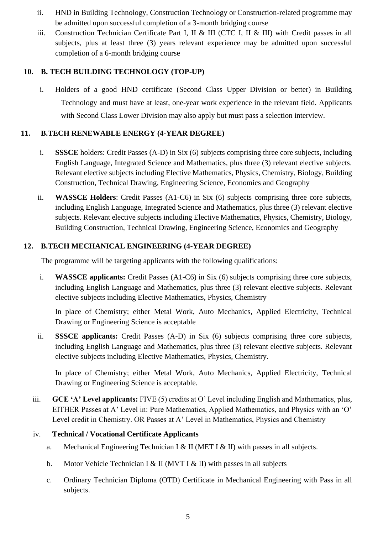- ii. HND in Building Technology, Construction Technology or Construction-related programme may be admitted upon successful completion of a 3-month bridging course
- iii. Construction Technician Certificate Part I, II & III (CTC I, II & III) with Credit passes in all subjects, plus at least three (3) years relevant experience may be admitted upon successful completion of a 6-month bridging course

## **10. B. TECH BUILDING TECHNOLOGY (TOP-UP)**

i. Holders of a good HND certificate (Second Class Upper Division or better) in Building Technology and must have at least, one-year work experience in the relevant field. Applicants with Second Class Lower Division may also apply but must pass a selection interview.

## **11. B.TECH RENEWABLE ENERGY (4-YEAR DEGREE)**

- i. **SSSCE** holders: Credit Passes (A-D) in Six (6) subjects comprising three core subjects, including English Language, Integrated Science and Mathematics, plus three (3) relevant elective subjects. Relevant elective subjects including Elective Mathematics, Physics, Chemistry, Biology, Building Construction, Technical Drawing, Engineering Science, Economics and Geography
- ii. **WASSCE Holders**: Credit Passes (A1-C6) in Six (6) subjects comprising three core subjects, including English Language, Integrated Science and Mathematics, plus three (3) relevant elective subjects. Relevant elective subjects including Elective Mathematics, Physics, Chemistry, Biology, Building Construction, Technical Drawing, Engineering Science, Economics and Geography

## **12. B.TECH MECHANICAL ENGINEERING (4-YEAR DEGREE)**

The programme will be targeting applicants with the following qualifications:

i. **WASSCE applicants:** Credit Passes (A1-C6) in Six (6) subjects comprising three core subjects, including English Language and Mathematics, plus three (3) relevant elective subjects. Relevant elective subjects including Elective Mathematics, Physics, Chemistry

In place of Chemistry; either Metal Work, Auto Mechanics, Applied Electricity, Technical Drawing or Engineering Science is acceptable

ii. **SSSCE applicants:** Credit Passes (A-D) in Six (6) subjects comprising three core subjects, including English Language and Mathematics, plus three (3) relevant elective subjects. Relevant elective subjects including Elective Mathematics, Physics, Chemistry.

In place of Chemistry; either Metal Work, Auto Mechanics, Applied Electricity, Technical Drawing or Engineering Science is acceptable.

iii. **GCE 'A' Level applicants:** FIVE (5) credits at O' Level including English and Mathematics, plus, EITHER Passes at A' Level in: Pure Mathematics, Applied Mathematics, and Physics with an 'O' Level credit in Chemistry. OR Passes at A' Level in Mathematics, Physics and Chemistry

#### iv. **Technical / Vocational Certificate Applicants**

- a. Mechanical Engineering Technician I & II (MET I & II) with passes in all subjects.
- b. Motor Vehicle Technician I & II (MVT I & II) with passes in all subjects
- c. Ordinary Technician Diploma (OTD) Certificate in Mechanical Engineering with Pass in all subjects.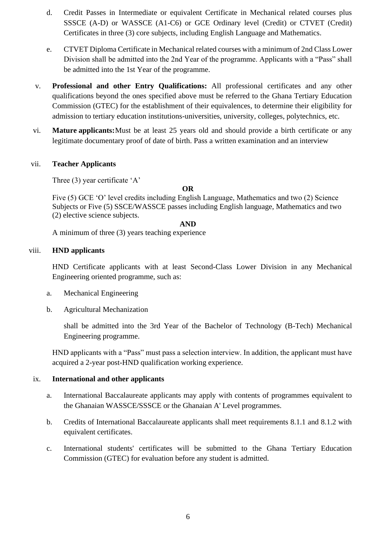- d. Credit Passes in Intermediate or equivalent Certificate in Mechanical related courses plus SSSCE (A-D) or WASSCE (A1-C6) or GCE Ordinary level (Credit) or CTVET (Credit) Certificates in three (3) core subjects, including English Language and Mathematics.
- e. CTVET Diploma Certificate in Mechanical related courses with a minimum of 2nd Class Lower Division shall be admitted into the 2nd Year of the programme. Applicants with a "Pass" shall be admitted into the 1st Year of the programme.
- v. **Professional and other Entry Qualifications:** All professional certificates and any other qualifications beyond the ones specified above must be referred to the Ghana Tertiary Education Commission (GTEC) for the establishment of their equivalences, to determine their eligibility for admission to tertiary education institutions-universities, university, colleges, polytechnics, etc.
- vi. **Mature applicants:**Must be at least 25 years old and should provide a birth certificate or any legitimate documentary proof of date of birth. Pass a written examination and an interview

#### vii. **Teacher Applicants**

Three (3) year certificate 'A'

#### **OR**

Five (5) GCE 'O' level credits including English Language, Mathematics and two (2) Science Subjects or Five (5) SSCE/WASSCE passes including English language, Mathematics and two (2) elective science subjects.

#### **AND**

A minimum of three (3) years teaching experience

#### viii. **HND applicants**

HND Certificate applicants with at least Second-Class Lower Division in any Mechanical Engineering oriented programme, such as:

- a. Mechanical Engineering
- b. Agricultural Mechanization

shall be admitted into the 3rd Year of the Bachelor of Technology (B-Tech) Mechanical Engineering programme.

HND applicants with a "Pass" must pass a selection interview. In addition, the applicant must have acquired a 2-year post-HND qualification working experience.

#### ix. **International and other applicants**

- a. International Baccalaureate applicants may apply with contents of programmes equivalent to the Ghanaian WASSCE/SSSCE or the Ghanaian A' Level programmes.
- b. Credits of International Baccalaureate applicants shall meet requirements 8.1.1 and 8.1.2 with equivalent certificates.
- c. International students' certificates will be submitted to the Ghana Tertiary Education Commission (GTEC) for evaluation before any student is admitted.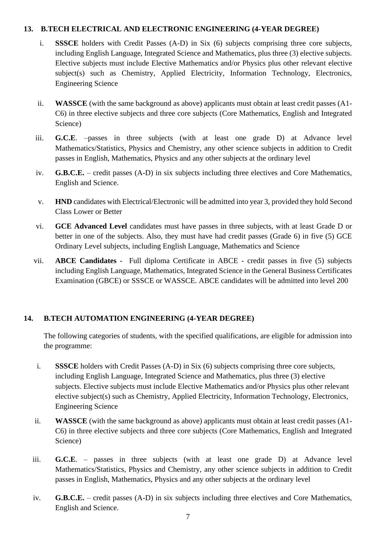## **13. B.TECH ELECTRICAL AND ELECTRONIC ENGINEERING (4-YEAR DEGREE)**

- i. **SSSCE** holders with Credit Passes (A-D) in Six (6) subjects comprising three core subjects, including English Language, Integrated Science and Mathematics, plus three (3) elective subjects. Elective subjects must include Elective Mathematics and/or Physics plus other relevant elective subject(s) such as Chemistry, Applied Electricity, Information Technology, Electronics, Engineering Science
- ii. **WASSCE** (with the same background as above) applicants must obtain at least credit passes (A1- C6) in three elective subjects and three core subjects (Core Mathematics, English and Integrated Science)
- iii. **G.C.E**. –passes in three subjects (with at least one grade D) at Advance level Mathematics/Statistics, Physics and Chemistry, any other science subjects in addition to Credit passes in English, Mathematics, Physics and any other subjects at the ordinary level
- iv. **G.B.C.E.** credit passes (A-D) in six subjects including three electives and Core Mathematics, English and Science.
- v. **HND** candidates with Electrical/Electronic will be admitted into year 3, provided they hold Second Class Lower or Better
- vi. **GCE Advanced Level** candidates must have passes in three subjects, with at least Grade D or better in one of the subjects. Also, they must have had credit passes (Grade 6) in five (5) GCE Ordinary Level subjects, including English Language, Mathematics and Science
- vii. **ABCE Candidates** Full diploma Certificate in ABCE credit passes in five (5) subjects including English Language, Mathematics, Integrated Science in the General Business Certificates Examination (GBCE) or SSSCE or WASSCE. ABCE candidates will be admitted into level 200

## **14. B.TECH AUTOMATION ENGINEERING (4-YEAR DEGREE)**

The following categories of students, with the specified qualifications, are eligible for admission into the programme:

- i. **SSSCE** holders with Credit Passes (A-D) in Six (6) subjects comprising three core subjects, including English Language, Integrated Science and Mathematics, plus three (3) elective subjects. Elective subjects must include Elective Mathematics and/or Physics plus other relevant elective subject(s) such as Chemistry, Applied Electricity, Information Technology, Electronics, Engineering Science
- ii. **WASSCE** (with the same background as above) applicants must obtain at least credit passes (A1- C6) in three elective subjects and three core subjects (Core Mathematics, English and Integrated Science)
- iii. **G.C.E**. passes in three subjects (with at least one grade D) at Advance level Mathematics/Statistics, Physics and Chemistry, any other science subjects in addition to Credit passes in English, Mathematics, Physics and any other subjects at the ordinary level
- iv. **G.B.C.E.** credit passes (A-D) in six subjects including three electives and Core Mathematics, English and Science.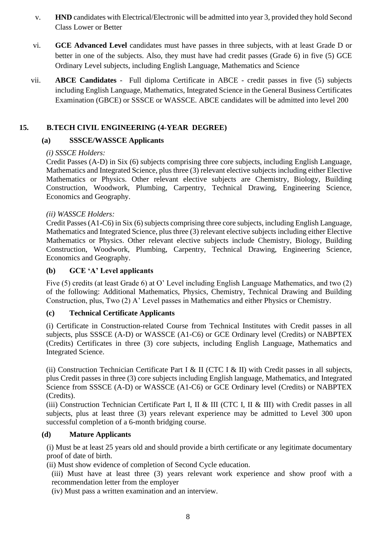- v. **HND** candidates with Electrical/Electronic will be admitted into year 3, provided they hold Second Class Lower or Better
- vi. **GCE Advanced Level** candidates must have passes in three subjects, with at least Grade D or better in one of the subjects. Also, they must have had credit passes (Grade 6) in five (5) GCE Ordinary Level subjects, including English Language, Mathematics and Science
- vii. **ABCE Candidates** Full diploma Certificate in ABCE credit passes in five (5) subjects including English Language, Mathematics, Integrated Science in the General Business Certificates Examination (GBCE) or SSSCE or WASSCE. ABCE candidates will be admitted into level 200

## **15. B.TECH CIVIL ENGINEERING (4-YEAR DEGREE)**

## **(a) SSSCE/WASSCE Applicants**

## *(i) SSSCE Holders:*

Credit Passes (A-D) in Six (6) subjects comprising three core subjects, including English Language, Mathematics and Integrated Science, plus three (3) relevant elective subjects including either Elective Mathematics or Physics. Other relevant elective subjects are Chemistry, Biology, Building Construction, Woodwork, Plumbing, Carpentry, Technical Drawing, Engineering Science, Economics and Geography.

## *(ii) WASSCE Holders:*

Credit Passes (A1-C6) in Six (6) subjects comprising three core subjects, including English Language, Mathematics and Integrated Science, plus three (3) relevant elective subjects including either Elective Mathematics or Physics. Other relevant elective subjects include Chemistry, Biology, Building Construction, Woodwork, Plumbing, Carpentry, Technical Drawing, Engineering Science, Economics and Geography.

## **(b) GCE 'A' Level applicants**

Five (5) credits (at least Grade 6) at O' Level including English Language Mathematics, and two (2) of the following: Additional Mathematics, Physics, Chemistry, Technical Drawing and Building Construction, plus, Two (2) A' Level passes in Mathematics and either Physics or Chemistry.

## **(c) Technical Certificate Applicants**

(i) Certificate in Construction-related Course from Technical Institutes with Credit passes in all subjects, plus SSSCE (A-D) or WASSCE (A1-C6) or GCE Ordinary level (Credits) or NABPTEX (Credits) Certificates in three (3) core subjects, including English Language, Mathematics and Integrated Science.

(ii) Construction Technician Certificate Part I & II (CTC I & II) with Credit passes in all subjects, plus Credit passes in three (3) core subjects including English language, Mathematics, and Integrated Science from SSSCE (A-D) or WASSCE (A1-C6) or GCE Ordinary level (Credits) or NABPTEX (Credits).

(iii) Construction Technician Certificate Part I, II & III (CTC I, II & III) with Credit passes in all subjects, plus at least three (3) years relevant experience may be admitted to Level 300 upon successful completion of a 6-month bridging course.

## **(d) Mature Applicants**

(i) Must be at least 25 years old and should provide a birth certificate or any legitimate documentary proof of date of birth.

(ii) Must show evidence of completion of Second Cycle education.

(iii) Must have at least three (3) years relevant work experience and show proof with a recommendation letter from the employer

(iv) Must pass a written examination and an interview.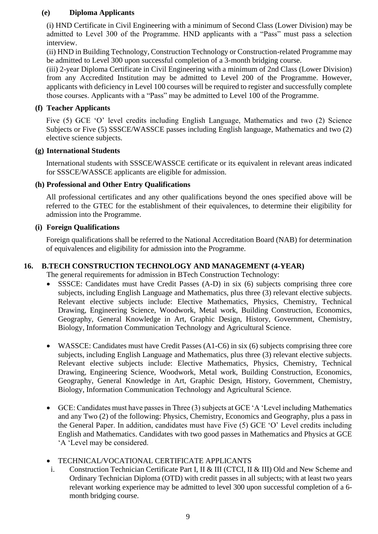#### **(e) Diploma Applicants**

(i) HND Certificate in Civil Engineering with a minimum of Second Class (Lower Division) may be admitted to Level 300 of the Programme. HND applicants with a "Pass" must pass a selection interview.

(ii) HND in Building Technology, Construction Technology or Construction-related Programme may be admitted to Level 300 upon successful completion of a 3-month bridging course.

(iii) 2-year Diploma Certificate in Civil Engineering with a minimum of 2nd Class (Lower Division) from any Accredited Institution may be admitted to Level 200 of the Programme. However, applicants with deficiency in Level 100 courses will be required to register and successfully complete those courses. Applicants with a "Pass" may be admitted to Level 100 of the Programme.

#### **(f) Teacher Applicants**

Five (5) GCE 'O' level credits including English Language, Mathematics and two (2) Science Subjects or Five (5) SSSCE/WASSCE passes including English language, Mathematics and two (2) elective science subjects.

#### **(g) International Students**

International students with SSSCE/WASSCE certificate or its equivalent in relevant areas indicated for SSSCE/WASSCE applicants are eligible for admission.

#### **(h) Professional and Other Entry Qualifications**

All professional certificates and any other qualifications beyond the ones specified above will be referred to the GTEC for the establishment of their equivalences, to determine their eligibility for admission into the Programme.

#### **(i) Foreign Qualifications**

Foreign qualifications shall be referred to the National Accreditation Board (NAB) for determination of equivalences and eligibility for admission into the Programme.

#### **16. B.TECH CONSTRUCTION TECHNOLOGY AND MANAGEMENT (4-YEAR)**

The general requirements for admission in BTech Construction Technology:

- SSSCE: Candidates must have Credit Passes (A-D) in six (6) subjects comprising three core subjects, including English Language and Mathematics, plus three (3) relevant elective subjects. Relevant elective subjects include: Elective Mathematics, Physics, Chemistry, Technical Drawing, Engineering Science, Woodwork, Metal work, Building Construction, Economics, Geography, General Knowledge in Art, Graphic Design, History, Government, Chemistry, Biology, Information Communication Technology and Agricultural Science.
- WASSCE: Candidates must have Credit Passes (A1-C6) in six (6) subjects comprising three core subjects, including English Language and Mathematics, plus three (3) relevant elective subjects. Relevant elective subjects include: Elective Mathematics, Physics, Chemistry, Technical Drawing, Engineering Science, Woodwork, Metal work, Building Construction, Economics, Geography, General Knowledge in Art, Graphic Design, History, Government, Chemistry, Biology, Information Communication Technology and Agricultural Science.
- GCE: Candidates must have passes in Three (3) subjects at GCE 'A 'Level including Mathematics and any Two (2) of the following: Physics, Chemistry, Economics and Geography, plus a pass in the General Paper. In addition, candidates must have Five (5) GCE 'O' Level credits including English and Mathematics. Candidates with two good passes in Mathematics and Physics at GCE 'A 'Level may be considered.
- TECHNICAL/VOCATIONAL CERTIFICATE APPLICANTS
- i. Construction Technician Certificate Part I, II & III (CTCI, II & III) Old and New Scheme and Ordinary Technician Diploma (OTD) with credit passes in all subjects; with at least two years relevant working experience may be admitted to level 300 upon successful completion of a 6 month bridging course.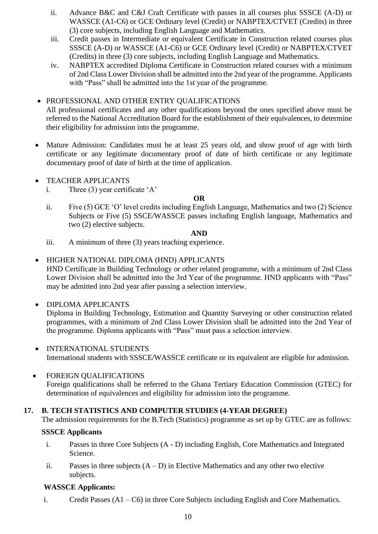- ii. Advance B&C and C&J Craft Certificate with passes in all courses plus SSSCE (A-D) or WASSCE (A1-C6) or GCE Ordinary level (Credit) or NABPTEX/CTVET (Credits) in three (3) core subjects, including English Language and Mathematics.
- iii. Credit passes in Intermediate or equivalent Certificate in Construction related courses plus SSSCE (A-D) or WASSCE (A1-C6) or GCE Ordinary level (Credit) or NABPTEX/CTVET (Credits) in three (3) core subjects, including English Language and Mathematics.
- iv. NABPTEX accredited Diploma Certificate in Construction related courses with a minimum of 2nd Class Lower Division shall be admitted into the 2nd year of the programme. Applicants with "Pass" shall be admitted into the 1st year of the programme.

## • PROFESSIONAL AND OTHER ENTRY OUALIFICATIONS

All professional certificates and any other qualifications beyond the ones specified above must be referred to the National Accreditation Board for the establishment of their equivalences, to determine their eligibility for admission into the programme.

- Mature Admission: Candidates must be at least 25 years old, and show proof of age with birth certificate or any legitimate documentary proof of date of birth certificate or any legitimate documentary proof of date of birth at the time of application.
- TEACHER APPLICANTS
	- i. Three (3) year certificate 'A'

#### **OR**

ii. Five (5) GCE 'O' level credits including English Language, Mathematics and two (2) Science Subjects or Five (5) SSCE/WASSCE passes including English language, Mathematics and two (2) elective subjects.

#### **AND**

iii. A minimum of three (3) years teaching experience.

#### • HIGHER NATIONAL DIPLOMA (HND) APPLICANTS

HND Certificate in Building Technology or other related programme, with a minimum of 2nd Class Lower Division shall be admitted into the 3rd Year of the programme. HND applicants with "Pass" may be admitted into 2nd year after passing a selection interview.

• DIPLOMA APPLICANTS

Diploma in Building Technology, Estimation and Quantity Surveying or other construction related programmes, with a minimum of 2nd Class Lower Division shall be admitted into the 2nd Year of the programme. Diploma applicants with "Pass" must pass a selection interview.

- INTERNATIONAL STUDENTS International students with SSSCE/WASSCE certificate or its equivalent are eligible for admission.
- FOREIGN QUALIFICATIONS Foreign qualifications shall be referred to the Ghana Tertiary Education Commission (GTEC) for determination of equivalences and eligibility for admission into the programme.

#### **17. B. TECH STATISTICS AND COMPUTER STUDIES (4-YEAR DEGREE)**

The admission requirements for the B.Tech (Statistics) programme as set up by GTEC are as follows:

#### **SSSCE Applicants**

- i. Passes in three Core Subjects (A D) including English, Core Mathematics and Integrated Science.
- ii. Passes in three subjects  $(A D)$  in Elective Mathematics and any other two elective subjects.

#### **WASSCE Applicants:**

i. Credit Passes  $(A1 - C6)$  in three Core Subjects including English and Core Mathematics.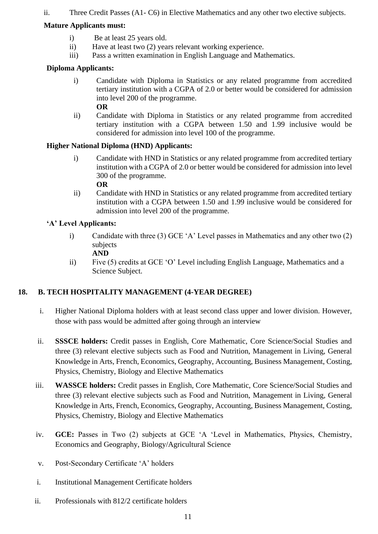ii. Three Credit Passes (A1- C6) in Elective Mathematics and any other two elective subjects.

## **Mature Applicants must:**

- i) Be at least 25 years old.
- ii) Have at least two (2) years relevant working experience.
- iii) Pass a written examination in English Language and Mathematics.

## **Diploma Applicants:**

i) Candidate with Diploma in Statistics or any related programme from accredited tertiary institution with a CGPA of 2.0 or better would be considered for admission into level 200 of the programme.

#### **OR**

ii) Candidate with Diploma in Statistics or any related programme from accredited tertiary institution with a CGPA between 1.50 and 1.99 inclusive would be considered for admission into level 100 of the programme.

## **Higher National Diploma (HND) Applicants:**

i) Candidate with HND in Statistics or any related programme from accredited tertiary institution with a CGPA of 2.0 or better would be considered for admission into level 300 of the programme.

## **OR**

ii) Candidate with HND in Statistics or any related programme from accredited tertiary institution with a CGPA between 1.50 and 1.99 inclusive would be considered for admission into level 200 of the programme.

## **'A' Level Applicants:**

i) Candidate with three (3) GCE 'A' Level passes in Mathematics and any other two (2) subjects

## **AND**

ii) Five (5) credits at GCE 'O' Level including English Language, Mathematics and a Science Subject.

#### **18. B. TECH HOSPITALITY MANAGEMENT (4-YEAR DEGREE)**

- i. Higher National Diploma holders with at least second class upper and lower division. However, those with pass would be admitted after going through an interview
- ii. **SSSCE holders:** Credit passes in English, Core Mathematic, Core Science/Social Studies and three (3) relevant elective subjects such as Food and Nutrition, Management in Living, General Knowledge in Arts, French, Economics, Geography, Accounting, Business Management, Costing, Physics, Chemistry, Biology and Elective Mathematics
- iii. **WASSCE holders:** Credit passes in English, Core Mathematic, Core Science/Social Studies and three (3) relevant elective subjects such as Food and Nutrition, Management in Living, General Knowledge in Arts, French, Economics, Geography, Accounting, Business Management, Costing, Physics, Chemistry, Biology and Elective Mathematics
- iv. **GCE:** Passes in Two (2) subjects at GCE 'A 'Level in Mathematics, Physics, Chemistry, Economics and Geography, Biology/Agricultural Science
- v. Post-Secondary Certificate 'A' holders
- i. Institutional Management Certificate holders
- ii. Professionals with 812/2 certificate holders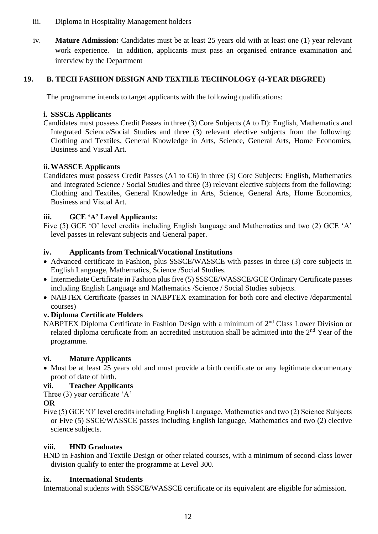- iii. Diploma in Hospitality Management holders
- iv. **Mature Admission:** Candidates must be at least 25 years old with at least one (1) year relevant work experience. In addition, applicants must pass an organised entrance examination and interview by the Department

## **19. B. TECH FASHION DESIGN AND TEXTILE TECHNOLOGY (4-YEAR DEGREE)**

The programme intends to target applicants with the following qualifications:

## **i. SSSCE Applicants**

Candidates must possess Credit Passes in three (3) Core Subjects (A to D): English, Mathematics and Integrated Science/Social Studies and three (3) relevant elective subjects from the following: Clothing and Textiles, General Knowledge in Arts, Science, General Arts, Home Economics, Business and Visual Art.

## **ii.WASSCE Applicants**

Candidates must possess Credit Passes (A1 to C6) in three (3) Core Subjects: English, Mathematics and Integrated Science / Social Studies and three (3) relevant elective subjects from the following: Clothing and Textiles, General Knowledge in Arts, Science, General Arts, Home Economics, Business and Visual Art.

## **iii. GCE 'A' Level Applicants:**

Five (5) GCE 'O' level credits including English language and Mathematics and two (2) GCE 'A' level passes in relevant subjects and General paper.

## **iv. Applicants from Technical/Vocational Institutions**

- Advanced certificate in Fashion, plus SSSCE/WASSCE with passes in three (3) core subjects in English Language, Mathematics, Science /Social Studies.
- Intermediate Certificate in Fashion plus five (5) SSSCE/WASSCE/GCE Ordinary Certificate passes including English Language and Mathematics /Science / Social Studies subjects.
- NABTEX Certificate (passes in NABPTEX examination for both core and elective /departmental courses)

## **v. Diploma Certificate Holders**

NABPTEX Diploma Certificate in Fashion Design with a minimum of 2nd Class Lower Division or related diploma certificate from an accredited institution shall be admitted into the 2<sup>nd</sup> Year of the programme.

## **vi. Mature Applicants**

• Must be at least 25 years old and must provide a birth certificate or any legitimate documentary proof of date of birth.

## **vii. Teacher Applicants**

Three (3) year certificate 'A'

## **OR**

Five (5) GCE 'O' level credits including English Language, Mathematics and two (2) Science Subjects or Five (5) SSCE/WASSCE passes including English language, Mathematics and two (2) elective science subjects.

#### **viii. HND Graduates**

HND in Fashion and Textile Design or other related courses, with a minimum of second-class lower division qualify to enter the programme at Level 300.

#### **ix. International Students**

International students with SSSCE/WASSCE certificate or its equivalent are eligible for admission.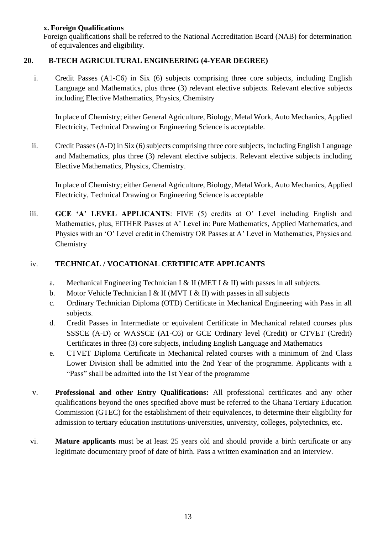## **x. Foreign Qualifications**

Foreign qualifications shall be referred to the National Accreditation Board (NAB) for determination of equivalences and eligibility.

## **20. B-TECH AGRICULTURAL ENGINEERING (4-YEAR DEGREE)**

i. Credit Passes (A1-C6) in Six (6) subjects comprising three core subjects, including English Language and Mathematics, plus three (3) relevant elective subjects. Relevant elective subjects including Elective Mathematics, Physics, Chemistry

In place of Chemistry; either General Agriculture, Biology, Metal Work, Auto Mechanics, Applied Electricity, Technical Drawing or Engineering Science is acceptable.

ii. Credit Passes (A-D) in Six (6) subjects comprising three core subjects, including English Language and Mathematics, plus three (3) relevant elective subjects. Relevant elective subjects including Elective Mathematics, Physics, Chemistry.

In place of Chemistry; either General Agriculture, Biology, Metal Work, Auto Mechanics, Applied Electricity, Technical Drawing or Engineering Science is acceptable

iii. **GCE 'A' LEVEL APPLICANTS**: FIVE (5) credits at O' Level including English and Mathematics, plus, EITHER Passes at A' Level in: Pure Mathematics, Applied Mathematics, and Physics with an 'O' Level credit in Chemistry OR Passes at A' Level in Mathematics, Physics and **Chemistry** 

## iv. **TECHNICAL / VOCATIONAL CERTIFICATE APPLICANTS**

- a. Mechanical Engineering Technician I & II (MET I & II) with passes in all subjects.
- b. Motor Vehicle Technician I & II (MVT I & II) with passes in all subjects
- c. Ordinary Technician Diploma (OTD) Certificate in Mechanical Engineering with Pass in all subjects.
- d. Credit Passes in Intermediate or equivalent Certificate in Mechanical related courses plus SSSCE (A-D) or WASSCE (A1-C6) or GCE Ordinary level (Credit) or CTVET (Credit) Certificates in three (3) core subjects, including English Language and Mathematics
- e. CTVET Diploma Certificate in Mechanical related courses with a minimum of 2nd Class Lower Division shall be admitted into the 2nd Year of the programme. Applicants with a "Pass" shall be admitted into the 1st Year of the programme
- v. **Professional and other Entry Qualifications:** All professional certificates and any other qualifications beyond the ones specified above must be referred to the Ghana Tertiary Education Commission (GTEC) for the establishment of their equivalences, to determine their eligibility for admission to tertiary education institutions-universities, university, colleges, polytechnics, etc.
- vi. **Mature applicants** must be at least 25 years old and should provide a birth certificate or any legitimate documentary proof of date of birth. Pass a written examination and an interview.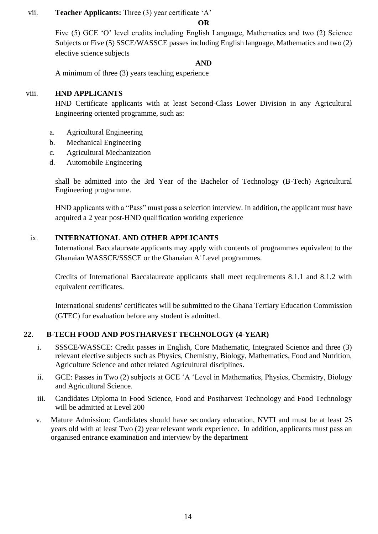#### vii. **Teacher Applicants:** Three (3) year certificate 'A'

**OR**

Five (5) GCE 'O' level credits including English Language, Mathematics and two (2) Science Subjects or Five (5) SSCE/WASSCE passes including English language, Mathematics and two (2) elective science subjects

#### **AND**

A minimum of three (3) years teaching experience

## viii. **HND APPLICANTS**

HND Certificate applicants with at least Second-Class Lower Division in any Agricultural Engineering oriented programme, such as:

- a. Agricultural Engineering
- b. Mechanical Engineering
- c. Agricultural Mechanization
- d. Automobile Engineering

shall be admitted into the 3rd Year of the Bachelor of Technology (B-Tech) Agricultural Engineering programme.

HND applicants with a "Pass" must pass a selection interview. In addition, the applicant must have acquired a 2 year post-HND qualification working experience

## ix. **INTERNATIONAL AND OTHER APPLICANTS**

International Baccalaureate applicants may apply with contents of programmes equivalent to the Ghanaian WASSCE/SSSCE or the Ghanaian A' Level programmes.

Credits of International Baccalaureate applicants shall meet requirements 8.1.1 and 8.1.2 with equivalent certificates.

International students' certificates will be submitted to the Ghana Tertiary Education Commission (GTEC) for evaluation before any student is admitted.

## **22. B-TECH FOOD AND POSTHARVEST TECHNOLOGY (4-YEAR)**

- i. SSSCE/WASSCE: Credit passes in English, Core Mathematic, Integrated Science and three (3) relevant elective subjects such as Physics, Chemistry, Biology, Mathematics, Food and Nutrition, Agriculture Science and other related Agricultural disciplines.
- ii. GCE: Passes in Two (2) subjects at GCE 'A 'Level in Mathematics, Physics, Chemistry, Biology and Agricultural Science.
- iii. Candidates Diploma in Food Science, Food and Postharvest Technology and Food Technology will be admitted at Level 200
- v. Mature Admission: Candidates should have secondary education, NVTI and must be at least 25 years old with at least Two (2) year relevant work experience. In addition, applicants must pass an organised entrance examination and interview by the department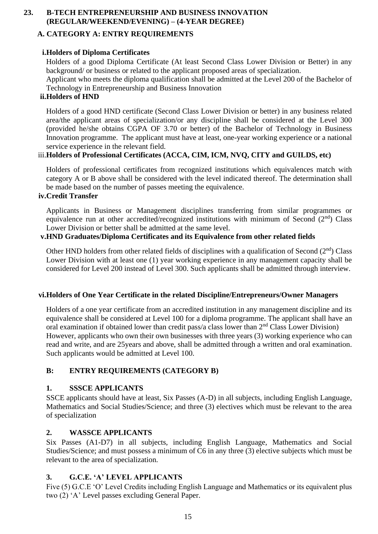## **23. B-TECH ENTREPRENEURSHIP AND BUSINESS INNOVATION (REGULAR/WEEKEND/EVENING) – (4-YEAR DEGREE)**

## **A. CATEGORY A: ENTRY REQUIREMENTS**

#### **i.Holders of Diploma Certificates**

Holders of a good Diploma Certificate (At least Second Class Lower Division or Better) in any background/ or business or related to the applicant proposed areas of specialization.

Applicant who meets the diploma qualification shall be admitted at the Level 200 of the Bachelor of Technology in Entrepreneurship and Business Innovation

## **ii.Holders of HND**

Holders of a good HND certificate (Second Class Lower Division or better) in any business related area/the applicant areas of specialization/or any discipline shall be considered at the Level 300 (provided he/she obtains CGPA OF 3.70 or better) of the Bachelor of Technology in Business Innovation programme. The applicant must have at least, one-year working experience or a national service experience in the relevant field.

#### iii.**Holders of Professional Certificates (ACCA, CIM, ICM, NVQ, CITY and GUILDS, etc)**

Holders of professional certificates from recognized institutions which equivalences match with category A or B above shall be considered with the level indicated thereof. The determination shall be made based on the number of passes meeting the equivalence.

#### **iv.Credit Transfer**

Applicants in Business or Management disciplines transferring from similar programmes or equivalence run at other accredited/recognized institutions with minimum of Second  $(2<sup>nd</sup>)$  Class Lower Division or better shall be admitted at the same level.

## **v.HND Graduates/Diploma Certificates and its Equivalence from other related fields**

Other HND holders from other related fields of disciplines with a qualification of Second  $(2<sup>nd</sup>)$  Class Lower Division with at least one (1) year working experience in any management capacity shall be considered for Level 200 instead of Level 300. Such applicants shall be admitted through interview.

#### **vi.Holders of One Year Certificate in the related Discipline/Entrepreneurs/Owner Managers**

Holders of a one year certificate from an accredited institution in any management discipline and its equivalence shall be considered at Level 100 for a diploma programme. The applicant shall have an oral examination if obtained lower than credit pass/a class lower than 2nd Class Lower Division) However, applicants who own their own businesses with three years (3) working experience who can read and write, and are 25years and above, shall be admitted through a written and oral examination. Such applicants would be admitted at Level 100.

## **B: ENTRY REQUIREMENTS (CATEGORY B)**

#### **1. SSSCE APPLICANTS**

SSCE applicants should have at least, Six Passes (A-D) in all subjects, including English Language, Mathematics and Social Studies/Science; and three (3) electives which must be relevant to the area of specialization

## **2. WASSCE APPLICANTS**

Six Passes (A1-D7) in all subjects, including English Language, Mathematics and Social Studies/Science; and must possess a minimum of C6 in any three (3) elective subjects which must be relevant to the area of specialization.

#### **3. G.C.E. 'A' LEVEL APPLICANTS**

Five (5) G.C.E 'O' Level Credits including English Language and Mathematics or its equivalent plus two (2) 'A' Level passes excluding General Paper.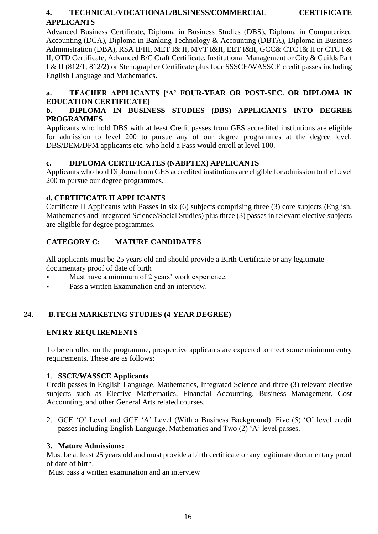#### **4. TECHNICAL/VOCATIONAL/BUSINESS/COMMERCIAL CERTIFICATE APPLICANTS**

Advanced Business Certificate, Diploma in Business Studies (DBS), Diploma in Computerized Accounting (DCA), Diploma in Banking Technology & Accounting (DBTA), Diploma in Business Administration (DBA), RSA II/III, MET I& II, MVT I&II, EET I&II, GCC& CTC I& II or CTC I & II, OTD Certificate, Advanced B/C Craft Certificate, Institutional Management or City & Guilds Part I & II (812/1, 812/2) or Stenographer Certificate plus four SSSCE/WASSCE credit passes including English Language and Mathematics.

## **a. TEACHER APPLICANTS ['A' FOUR-YEAR OR POST-SEC. OR DIPLOMA IN EDUCATION CERTIFICATE]**

#### **b. DIPLOMA IN BUSINESS STUDIES (DBS) APPLICANTS INTO DEGREE PROGRAMMES**

Applicants who hold DBS with at least Credit passes from GES accredited institutions are eligible for admission to level 200 to pursue any of our degree programmes at the degree level. DBS/DEM/DPM applicants etc. who hold a Pass would enroll at level 100.

## **c. DIPLOMA CERTIFICATES (NABPTEX) APPLICANTS**

Applicants who hold Diploma from GES accredited institutions are eligible for admission to the Level 200 to pursue our degree programmes.

## **d. CERTIFICATE II APPLICANTS**

Certificate II Applicants with Passes in six (6) subjects comprising three (3) core subjects (English, Mathematics and Integrated Science/Social Studies) plus three (3) passes in relevant elective subjects are eligible for degree programmes.

## **CATEGORY C: MATURE CANDIDATES**

All applicants must be 25 years old and should provide a Birth Certificate or any legitimate documentary proof of date of birth

- Must have a minimum of 2 years' work experience.
- **Pass a written Examination and an interview.**

## **24. B.TECH MARKETING STUDIES (4-YEAR DEGREE)**

#### **ENTRY REQUIREMENTS**

To be enrolled on the programme, prospective applicants are expected to meet some minimum entry requirements. These are as follows:

#### 1. **SSCE/WASSCE Applicants**

Credit passes in English Language. Mathematics, Integrated Science and three (3) relevant elective subjects such as Elective Mathematics, Financial Accounting, Business Management, Cost Accounting, and other General Arts related courses.

2. GCE 'O' Level and GCE 'A' Level (With a Business Background): Five (5) 'O' level credit passes including English Language, Mathematics and Two (2) 'A' level passes.

#### 3. **Mature Admissions:**

Must be at least 25 years old and must provide a birth certificate or any legitimate documentary proof of date of birth.

Must pass a written examination and an interview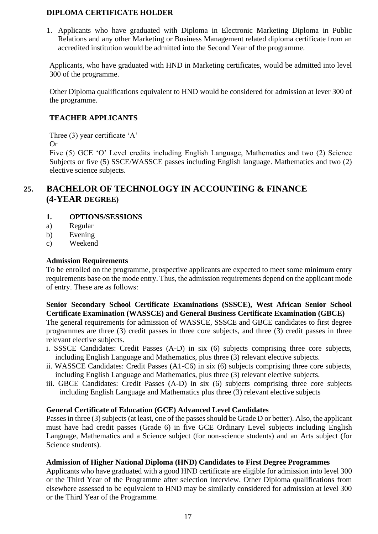#### **DIPLOMA CERTIFICATE HOLDER**

1. Applicants who have graduated with Diploma in Electronic Marketing Diploma in Public Relations and any other Marketing or Business Management related diploma certificate from an accredited institution would be admitted into the Second Year of the programme.

Applicants, who have graduated with HND in Marketing certificates, would be admitted into level 300 of the programme.

Other Diploma qualifications equivalent to HND would be considered for admission at lever 300 of the programme.

#### **TEACHER APPLICANTS**

Three (3) year certificate 'A'

Or

Five (5) GCE 'O' Level credits including English Language, Mathematics and two (2) Science Subjects or five (5) SSCE/WASSCE passes including English language. Mathematics and two (2) elective science subjects.

## **25. BACHELOR OF TECHNOLOGY IN ACCOUNTING & FINANCE (4-YEAR DEGREE)**

#### **1. OPTIONS/SESSIONS**

- a) Regular
- b) Evening
- c) Weekend

#### **Admission Requirements**

To be enrolled on the programme, prospective applicants are expected to meet some minimum entry requirements base on the mode entry. Thus, the admission requirements depend on the applicant mode of entry. These are as follows:

#### **Senior Secondary School Certificate Examinations (SSSCE), West African Senior School Certificate Examination (WASSCE) and General Business Certificate Examination (GBCE)**

The general requirements for admission of WASSCE, SSSCE and GBCE candidates to first degree programmes are three (3) credit passes in three core subjects, and three (3) credit passes in three relevant elective subjects.

- i. SSSCE Candidates: Credit Passes (A-D) in six (6) subjects comprising three core subjects, including English Language and Mathematics, plus three (3) relevant elective subjects.
- ii. WASSCE Candidates: Credit Passes (A1-C6) in six (6) subjects comprising three core subjects, including English Language and Mathematics, plus three (3) relevant elective subjects.
- iii. GBCE Candidates: Credit Passes (A-D) in six (6) subjects comprising three core subjects including English Language and Mathematics plus three (3) relevant elective subjects

#### **General Certificate of Education (GCE) Advanced Level Candidates**

Passes in three (3) subjects (at least, one of the passes should be Grade D or better). Also, the applicant must have had credit passes (Grade 6) in five GCE Ordinary Level subjects including English Language, Mathematics and a Science subject (for non-science students) and an Arts subject (for Science students).

#### **Admission of Higher National Diploma (HND) Candidates to First Degree Programmes**

Applicants who have graduated with a good HND certificate are eligible for admission into level 300 or the Third Year of the Programme after selection interview. Other Diploma qualifications from elsewhere assessed to be equivalent to HND may be similarly considered for admission at level 300 or the Third Year of the Programme.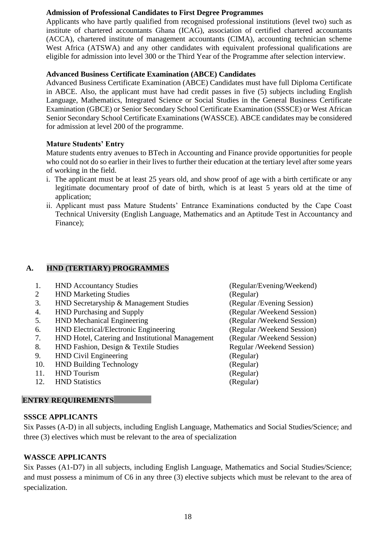## **Admission of Professional Candidates to First Degree Programmes**

Applicants who have partly qualified from recognised professional institutions (level two) such as institute of chartered accountants Ghana (ICAG), association of certified chartered accountants (ACCA), chartered institute of management accountants (CIMA), accounting technician scheme West Africa (ATSWA) and any other candidates with equivalent professional qualifications are eligible for admission into level 300 or the Third Year of the Programme after selection interview.

## **Advanced Business Certificate Examination (ABCE) Candidates**

Advanced Business Certificate Examination (ABCE) Candidates must have full Diploma Certificate in ABCE. Also, the applicant must have had credit passes in five (5) subjects including English Language, Mathematics, Integrated Science or Social Studies in the General Business Certificate Examination (GBCE) or Senior Secondary School Certificate Examination (SSSCE) or West African Senior Secondary School Certificate Examinations (WASSCE). ABCE candidates may be considered for admission at level 200 of the programme.

## **Mature Students' Entry**

Mature students entry avenues to BTech in Accounting and Finance provide opportunities for people who could not do so earlier in their lives to further their education at the tertiary level after some years of working in the field.

- i. The applicant must be at least 25 years old, and show proof of age with a birth certificate or any legitimate documentary proof of date of birth, which is at least 5 years old at the time of application;
- ii. Applicant must pass Mature Students' Entrance Examinations conducted by the Cape Coast Technical University (English Language, Mathematics and an Aptitude Test in Accountancy and Finance);

## **A. HND (TERTIARY) PROGRAMMES**

|                           | <b>HND Accountancy Studies</b>                   | (Regular/Evening/Weekend)   |  |  |  |
|---------------------------|--------------------------------------------------|-----------------------------|--|--|--|
| $\overline{2}$            | <b>HND Marketing Studies</b>                     | (Regular)                   |  |  |  |
| 3.                        | HND Secretaryship & Management Studies           | (Regular / Evening Session) |  |  |  |
| 4.                        | <b>HND Purchasing and Supply</b>                 | (Regular /Weekend Session)  |  |  |  |
| 5.                        | <b>HND Mechanical Engineering</b>                | (Regular /Weekend Session)  |  |  |  |
| 6.                        | HND Electrical/Electronic Engineering            | (Regular /Weekend Session)  |  |  |  |
| 7.                        | HND Hotel, Catering and Institutional Management | (Regular /Weekend Session)  |  |  |  |
| 8.                        | HND Fashion, Design & Textile Studies            | Regular /Weekend Session)   |  |  |  |
| 9.                        | <b>HND Civil Engineering</b>                     | (Regular)                   |  |  |  |
| 10.                       | <b>HND Building Technology</b>                   | (Regular)                   |  |  |  |
| 11.                       | <b>HND</b> Tourism                               | (Regular)                   |  |  |  |
| 12.                       | <b>HND Statistics</b>                            | (Regular)                   |  |  |  |
|                           |                                                  |                             |  |  |  |
| <b>ENTRY REQUIREMENTS</b> |                                                  |                             |  |  |  |

#### **SSSCE APPLICANTS**

Six Passes (A-D) in all subjects, including English Language, Mathematics and Social Studies/Science; and three (3) electives which must be relevant to the area of specialization

## **WASSCE APPLICANTS**

Six Passes (A1-D7) in all subjects, including English Language, Mathematics and Social Studies/Science; and must possess a minimum of C6 in any three (3) elective subjects which must be relevant to the area of specialization.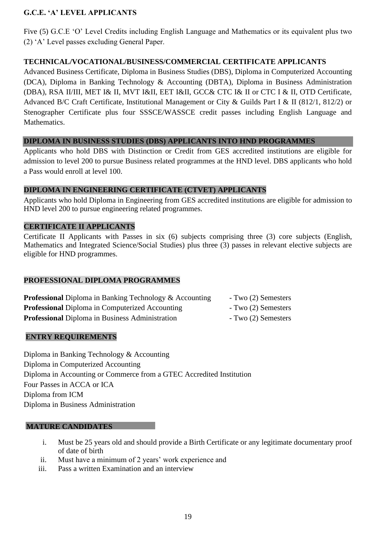## **G.C.E. 'A' LEVEL APPLICANTS**

Five (5) G.C.E 'O' Level Credits including English Language and Mathematics or its equivalent plus two (2) 'A' Level passes excluding General Paper.

## **TECHNICAL/VOCATIONAL/BUSINESS/COMMERCIAL CERTIFICATE APPLICANTS**

Advanced Business Certificate, Diploma in Business Studies (DBS), Diploma in Computerized Accounting (DCA), Diploma in Banking Technology & Accounting (DBTA), Diploma in Business Administration (DBA), RSA II/III, MET I& II, MVT I&II, EET I&II, GCC& CTC I& II or CTC I & II, OTD Certificate, Advanced B/C Craft Certificate, Institutional Management or City & Guilds Part I & II (812/1, 812/2) or Stenographer Certificate plus four SSSCE/WASSCE credit passes including English Language and Mathematics.

#### **DIPLOMA IN BUSINESS STUDIES (DBS) APPLICANTS INTO HND PROGRAMMES**

Applicants who hold DBS with Distinction or Credit from GES accredited institutions are eligible for admission to level 200 to pursue Business related programmes at the HND level. DBS applicants who hold a Pass would enroll at level 100.

## **DIPLOMA IN ENGINEERING CERTIFICATE (CTVET) APPLICANTS**

Applicants who hold Diploma in Engineering from GES accredited institutions are eligible for admission to HND level 200 to pursue engineering related programmes.

## **CERTIFICATE II APPLICANTS**

Certificate II Applicants with Passes in six (6) subjects comprising three (3) core subjects (English, Mathematics and Integrated Science/Social Studies) plus three (3) passes in relevant elective subjects are eligible for HND programmes.

## **PROFESSIONAL DIPLOMA PROGRAMMES**

| <b>Professional</b> Diploma in Banking Technology & Accounting | - Two (2) Semesters |
|----------------------------------------------------------------|---------------------|
| <b>Professional</b> Diploma in Computerized Accounting         | - Two (2) Semesters |
| <b>Professional Diploma in Business Administration</b>         | - Two (2) Semesters |

#### **ENTRY REQUIREMENTS**

Diploma in Banking Technology & Accounting Diploma in Computerized Accounting Diploma in Accounting or Commerce from a GTEC Accredited Institution Four Passes in ACCA or ICA Diploma from ICM Diploma in Business Administration

#### **MATURE CANDIDATES**

- i. Must be 25 years old and should provide a Birth Certificate or any legitimate documentary proof of date of birth
- ii. Must have a minimum of 2 years' work experience and
- iii. Pass a written Examination and an interview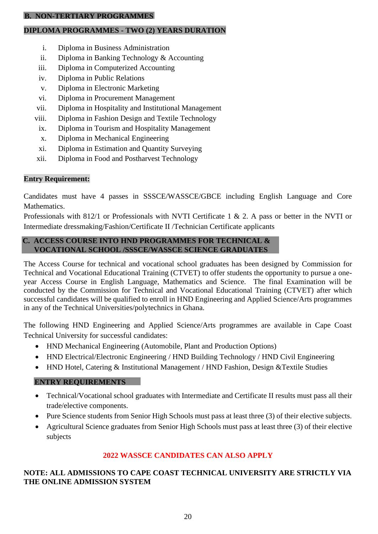#### **B. NON-TERTIARY PROGRAMMES**

#### **DIPLOMA PROGRAMMES - TWO (2) YEARS DURATION**

- i. Diploma in Business Administration
- ii. Diploma in Banking Technology & Accounting
- iii. Diploma in Computerized Accounting
- iv. Diploma in Public Relations
- v. Diploma in Electronic Marketing
- vi. Diploma in Procurement Management
- vii. Diploma in Hospitality and Institutional Management
- viii. Diploma in Fashion Design and Textile Technology
- ix. Diploma in Tourism and Hospitality Management
- x. Diploma in Mechanical Engineering
- xi. Diploma in Estimation and Quantity Surveying
- xii. Diploma in Food and Postharvest Technology

#### **Entry Requirement:**

Candidates must have 4 passes in SSSCE/WASSCE/GBCE including English Language and Core Mathematics.

Professionals with 812/1 or Professionals with NVTI Certificate 1 & 2. A pass or better in the NVTI or Intermediate dressmaking/Fashion/Certificate II /Technician Certificate applicants

#### I **C. ACCESS COURSE INTO HND PROGRAMMES FOR TECHNICAL & VOCATIONAL SCHOOL /SSSCE/WASSCE SCIENCE GRADUATES**

The Access Course for technical and vocational school graduates has been designed by Commission for Technical and Vocational Educational Training (CTVET) to offer students the opportunity to pursue a oneyear Access Course in English Language, Mathematics and Science. The final Examination will be conducted by the Commission for Technical and Vocational Educational Training (CTVET) after which successful candidates will be qualified to enroll in HND Engineering and Applied Science/Arts programmes in any of the Technical Universities/polytechnics in Ghana.

The following HND Engineering and Applied Science/Arts programmes are available in Cape Coast Technical University for successful candidates:

- HND Mechanical Engineering (Automobile, Plant and Production Options)
- HND Electrical/Electronic Engineering / HND Building Technology / HND Civil Engineering
- HND Hotel, Catering & Institutional Management / HND Fashion, Design & Textile Studies

#### **ENTRY REQUIREMENTS**

- Technical/Vocational school graduates with Intermediate and Certificate II results must pass all their trade/elective components.
- Pure Science students from Senior High Schools must pass at least three (3) of their elective subjects.
- Agricultural Science graduates from Senior High Schools must pass at least three (3) of their elective subjects

## **2022 WASSCE CANDIDATES CAN ALSO APPLY**

## **NOTE: ALL ADMISSIONS TO CAPE COAST TECHNICAL UNIVERSITY ARE STRICTLY VIA THE ONLINE ADMISSION SYSTEM**